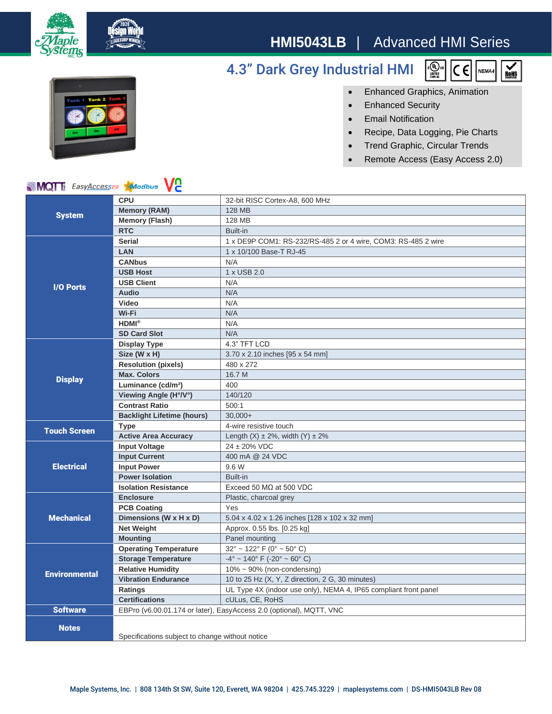

## **HMI5043LB** | Advanced HMI Series

## 4.3" Dark Grey Industrial HMI





• Enhanced Graphics, Animation

- Enhanced Security
- Email Notification
- Recipe, Data Logging, Pie Charts
- Trend Graphic, Circular Trends
- Remote Access (Easy Access 2.0)

## **MQT** EasyAccess20 **Algorithus**

| <b>System</b>        | <b>CPU</b>                                                          | 32-bit RISC Cortex-A8, 600 MHz                                   |
|----------------------|---------------------------------------------------------------------|------------------------------------------------------------------|
|                      | <b>Memory (RAM)</b>                                                 | <b>128 MB</b>                                                    |
|                      | <b>Memory (Flash)</b>                                               | 128 MB                                                           |
|                      | <b>RTC</b>                                                          | Built-in                                                         |
| <b>I/O Ports</b>     | <b>Serial</b>                                                       | 1 x DE9P COM1: RS-232/RS-485 2 or 4 wire, COM3: RS-485 2 wire    |
|                      | <b>LAN</b>                                                          | 1 x 10/100 Base-T RJ-45                                          |
|                      | <b>CANbus</b>                                                       | N/A                                                              |
|                      | <b>USB Host</b>                                                     | 1 x USB 2.0                                                      |
|                      | <b>USB Client</b>                                                   | N/A                                                              |
|                      | Audio                                                               | N/A                                                              |
|                      | Video                                                               | N/A                                                              |
|                      | Wi-Fi                                                               | N/A                                                              |
|                      | $HDMI^{\otimes}$                                                    | N/A                                                              |
|                      | <b>SD Card Slot</b>                                                 | N/A                                                              |
| <b>Display</b>       | <b>Display Type</b>                                                 | 4.3" TFT LCD                                                     |
|                      | Size (W x H)                                                        | 3.70 x 2.10 inches [95 x 54 mm]                                  |
|                      | <b>Resolution (pixels)</b>                                          | 480 x 272                                                        |
|                      | <b>Max. Colors</b>                                                  | 16.7 M                                                           |
|                      | Luminance (cd/m <sup>2</sup> )                                      | 400                                                              |
|                      | Viewing Angle (H°/V°)                                               | 140/120                                                          |
|                      | <b>Contrast Ratio</b>                                               | 500:1                                                            |
|                      | <b>Backlight Lifetime (hours)</b>                                   | $30.000+$                                                        |
| <b>Touch Screen</b>  | <b>Type</b>                                                         | 4-wire resistive touch                                           |
|                      | <b>Active Area Accuracy</b>                                         | Length $(X) \pm 2\%$ , width $(Y) \pm 2\%$                       |
| <b>Electrical</b>    | <b>Input Voltage</b>                                                | 24 ± 20% VDC                                                     |
|                      | <b>Input Current</b>                                                | 400 mA @ 24 VDC                                                  |
|                      | <b>Input Power</b>                                                  | 9.6 W                                                            |
|                      | <b>Power Isolation</b>                                              | Built-in                                                         |
|                      | <b>Isolation Resistance</b>                                         | Exceed 50 $M\Omega$ at 500 VDC                                   |
| <b>Mechanical</b>    | <b>Enclosure</b>                                                    | Plastic, charcoal grey                                           |
|                      | <b>PCB Coating</b>                                                  | Yes                                                              |
|                      | Dimensions (W x H x D)                                              | 5.04 x 4.02 x 1.26 inches [128 x 102 x 32 mm]                    |
|                      | <b>Net Weight</b>                                                   | Approx. 0.55 lbs. [0.25 kg]                                      |
|                      | <b>Mounting</b>                                                     | Panel mounting                                                   |
| <b>Environmental</b> | <b>Operating Temperature</b>                                        | $32^{\circ}$ ~ 122° F (0° ~ 50° C)                               |
|                      | <b>Storage Temperature</b>                                          | $-4^{\circ}$ ~ 140° F (-20° ~ 60° C)                             |
|                      | <b>Relative Humidity</b>                                            | $10\% \sim 90\%$ (non-condensing)                                |
|                      | <b>Vibration Endurance</b>                                          | 10 to 25 Hz (X, Y, Z direction, 2 G, 30 minutes)                 |
|                      | Ratings                                                             | UL Type 4X (indoor use only), NEMA 4, IP65 compliant front panel |
|                      | <b>Certifications</b>                                               | cULus, CE, RoHS                                                  |
| <b>Software</b>      | EBPro (v6.00.01.174 or later), EasyAccess 2.0 (optional), MQTT, VNC |                                                                  |
| <b>Notes</b>         |                                                                     |                                                                  |
|                      | Specifications subject to change without notice                     |                                                                  |